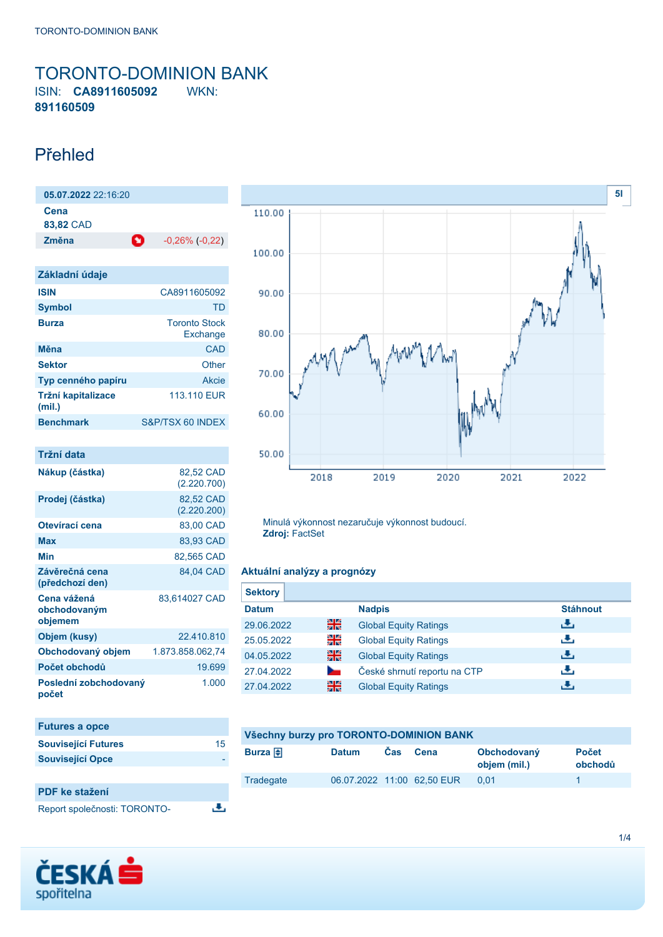### <span id="page-0-0"></span>TORONTO-DOMINION BANK ISIN: **CA8911605092** WKN: **891160509**

## Přehled

| 05.07.202222216:20 |   |                       |
|--------------------|---|-----------------------|
| Cena<br>83,82 CAD  |   |                       |
| Změna              | O | $-0,26\%$ ( $-0,22$ ) |
|                    |   |                       |
| Základní údaje     |   |                       |

| <b>ISIN</b>                  | CA8911605092                     |
|------------------------------|----------------------------------|
| <b>Symbol</b>                | TD.                              |
| <b>Burza</b>                 | <b>Toronto Stock</b><br>Exchange |
| Měna                         | CAD                              |
| <b>Sektor</b>                | Other                            |
| Typ cenného papíru           | Akcie                            |
| Tržní kapitalizace<br>(mil.) | 113,110 EUR                      |
| <b>Benchmark</b>             | S&P/TSX 60 INDEX                 |

| Tržní data                             |                          |
|----------------------------------------|--------------------------|
| Nákup (částka)                         | 82,52 CAD<br>(2.220.700) |
| Prodej (částka)                        | 82,52 CAD<br>(2.220.200) |
| Otevírací cena                         | 83.00 CAD                |
| Max                                    | 83,93 CAD                |
| Min                                    | 82,565 CAD               |
| Závěrečná cena<br>(předchozí den)      | 84,04 CAD                |
| Cena vážená<br>obchodovaným<br>objemem | 83,614027 CAD            |
| Objem (kusy)                           | 22.410.810               |
| Obchodovaný objem                      | 1.873.858.062.74         |
| Počet obchodů                          | 19.699                   |
| Poslední zobchodovaný<br>počet         | 1.000                    |

| <b>Futures a opce</b>        |    |
|------------------------------|----|
| <b>Související Futures</b>   | 15 |
| <b>Související Opce</b>      |    |
|                              |    |
| <b>PDF</b> ke stažení        |    |
| Report společnosti: TORONTO- |    |





Minulá výkonnost nezaručuje výkonnost budoucí. **Zdroj:** FactSet

### **Aktuální analýzy a prognózy**

| <b>Sektory</b> |    |                              |                 |
|----------------|----|------------------------------|-----------------|
| <b>Datum</b>   |    | <b>Nadpis</b>                | <b>Stáhnout</b> |
| 29.06.2022     | 을중 | <b>Global Equity Ratings</b> | رنان            |
| 25.05.2022     | 꾉뚢 | <b>Global Equity Ratings</b> | رنان            |
| 04.05.2022     | 픪춙 | <b>Global Equity Ratings</b> | رالى            |
| 27.04.2022     |    | České shrnutí reportu na CTP | رالى            |
| 27.04.2022     | 꾉쭍 | <b>Global Equity Ratings</b> | æ,              |

| Všechny burzy pro TORONTO-DOMINION BANK |                            |            |      |                             |                         |
|-----------------------------------------|----------------------------|------------|------|-----------------------------|-------------------------|
| Burza $\bigoplus$                       | <b>Datum</b>               | <b>Cas</b> | Cena | Obchodovaný<br>objem (mil.) | <b>Počet</b><br>obchodů |
| Tradegate                               | 06.07.2022 11:00 62,50 EUR |            |      | 0.01                        |                         |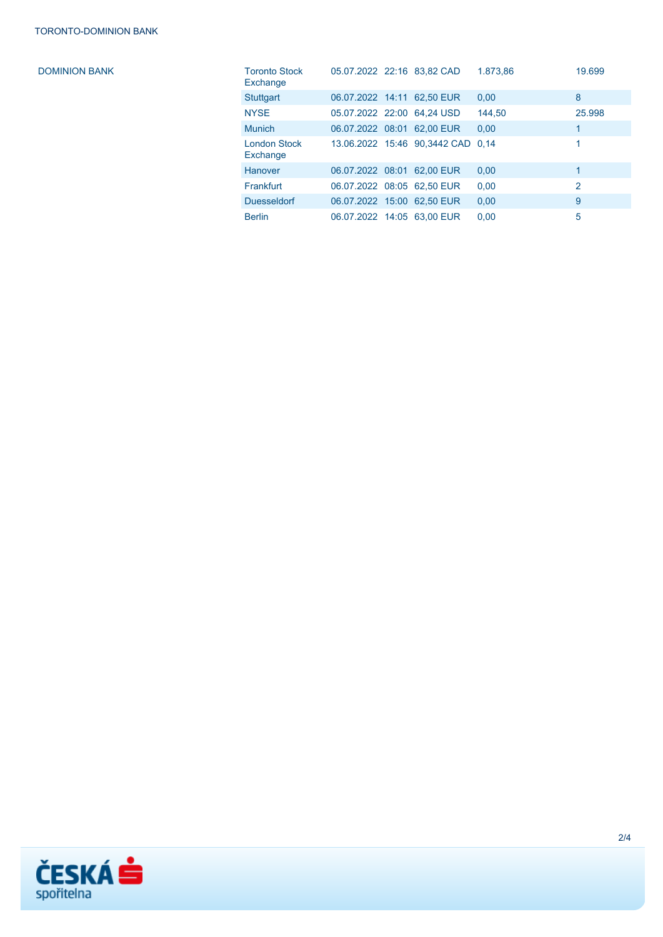DOMINION BANK

| <b>Toronto Stock</b><br>Exchange | 05.07.2022 22:16 83,82 CAD |                                   | 1.873,86 | 19.699         |
|----------------------------------|----------------------------|-----------------------------------|----------|----------------|
| <b>Stuttgart</b>                 | 06.07.2022 14:11 62.50 EUR |                                   | 0.00     | 8              |
| <b>NYSE</b>                      | 05.07.2022 22:00 64.24 USD |                                   | 144.50   | 25.998         |
| <b>Munich</b>                    | 06.07.2022 08:01 62,00 EUR |                                   | 0.00     | 1              |
| <b>London Stock</b><br>Exchange  |                            | 13.06.2022 15:46 90,3442 CAD 0.14 |          | 1              |
| Hanover                          | 06.07.2022 08:01 62.00 EUR |                                   | 0.00     | 1              |
| Frankfurt                        | 06.07.2022 08:05 62.50 EUR |                                   | 0.00     | $\overline{2}$ |
| <b>Duesseldorf</b>               | 06.07.2022 15:00 62,50 EUR |                                   | 0.00     | 9              |
| <b>Berlin</b>                    | 06.07.2022 14:05 63.00 EUR |                                   | 0.00     | 5              |

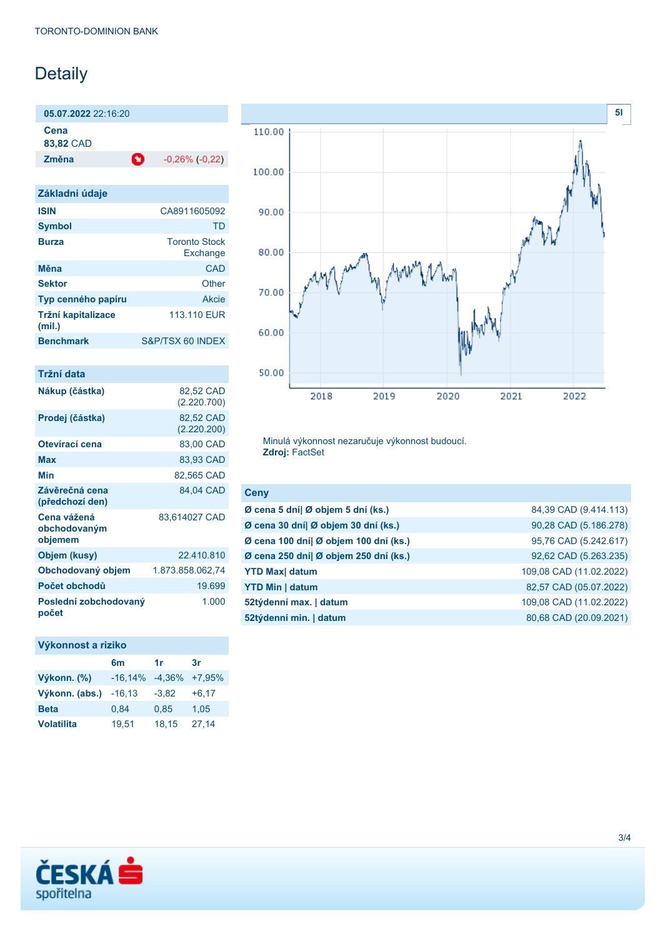# Detaily

**05.07.2022** 22:16:20 **Cena**

**83,82** CAD

**Změna** -0,26% (-0,22)

| Základní údaje               |                                  |
|------------------------------|----------------------------------|
| <b>ISIN</b>                  | CA8911605092                     |
| <b>Symbol</b>                | TD                               |
| <b>Burza</b>                 | <b>Toronto Stock</b><br>Exchange |
| Měna                         | CAD                              |
| <b>Sektor</b>                | Other                            |
| Typ cenného papíru           | Akcie                            |
| Tržní kapitalizace<br>(mil.) | 113,110 EUR                      |
| <b>Benchmark</b>             | S&P/TSX 60 INDEX                 |

| Tržní data                             |                          |
|----------------------------------------|--------------------------|
| Nákup (částka)                         | 82,52 CAD<br>(2.220.700) |
| Prodej (částka)                        | 82,52 CAD<br>(2.220.200) |
| Otevírací cena                         | 83,00 CAD                |
| Max                                    | 83,93 CAD                |
| Min                                    | 82,565 CAD               |
| Závěrečná cena<br>(předchozí den)      | 84,04 CAD                |
| Cena vážená<br>obchodovaným<br>objemem | 83,614027 CAD            |
| Objem (kusy)                           | 22.410.810               |
| Obchodovaný objem                      | 1.873.858.062.74         |
| Počet obchodů                          | 19.699                   |
| Poslední zobchodovaný<br>počet         | 1.000                    |

## **Výkonnost a riziko 6m 1r 3r Výkonn. (%)** -16,14% -4,36% +7,95%

| Výkonn. (abs.) $-16,13$ |       | $-3.82$ | $+6.17$ |
|-------------------------|-------|---------|---------|
| <b>Beta</b>             | 0.84  | 0.85    | 1.05    |
| <b>Volatilita</b>       | 19.51 | 18.15   | 27.14   |



Minulá výkonnost nezaručuje výkonnost budoucí. **Zdroj:** FactSet

| <b>Ceny</b>                           |                         |
|---------------------------------------|-------------------------|
| Ø cena 5 dní  Ø objem 5 dní (ks.)     | 84,39 CAD (9.414.113)   |
| Ø cena 30 dní  Ø objem 30 dní (ks.)   | 90,28 CAD (5.186.278)   |
| Ø cena 100 dní  Ø objem 100 dní (ks.) | 95,76 CAD (5.242.617)   |
| Ø cena 250 dní  Ø objem 250 dní (ks.) | 92,62 CAD (5.263.235)   |
| <b>YTD Max</b> datum                  | 109,08 CAD (11.02.2022) |
| <b>YTD Min   datum</b>                | 82,57 CAD (05.07.2022)  |
| 52týdenní max.   datum                | 109,08 CAD (11.02.2022) |
| 52týdenní min.   datum                | 80,68 CAD (20.09.2021)  |